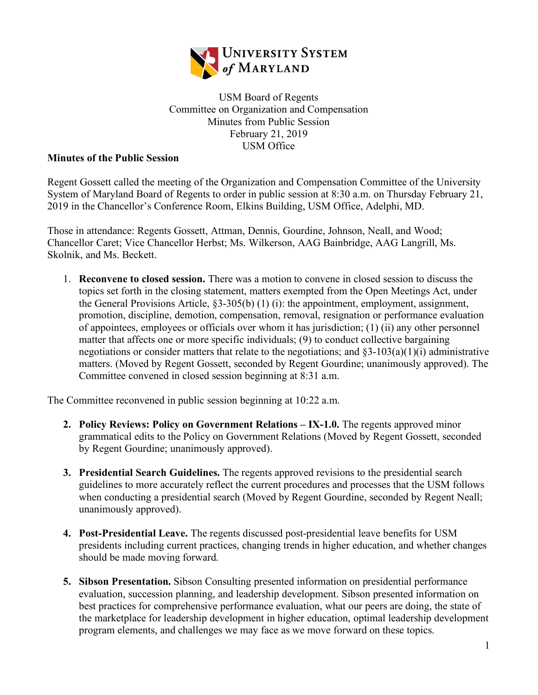

USM Board of Regents Committee on Organization and Compensation Minutes from Public Session February 21, 2019 USM Office

## **Minutes of the Public Session**

Regent Gossett called the meeting of the Organization and Compensation Committee of the University System of Maryland Board of Regents to order in public session at 8:30 a.m. on Thursday February 21, 2019 in the Chancellor's Conference Room, Elkins Building, USM Office, Adelphi, MD.

Those in attendance: Regents Gossett, Attman, Dennis, Gourdine, Johnson, Neall, and Wood; Chancellor Caret; Vice Chancellor Herbst; Ms. Wilkerson, AAG Bainbridge, AAG Langrill, Ms. Skolnik, and Ms. Beckett.

1. **Reconvene to closed session.** There was a motion to convene in closed session to discuss the topics set forth in the closing statement, matters exempted from the Open Meetings Act, under the General Provisions Article, §3-305(b) (1) (i): the appointment, employment, assignment, promotion, discipline, demotion, compensation, removal, resignation or performance evaluation of appointees, employees or officials over whom it has jurisdiction; (1) (ii) any other personnel matter that affects one or more specific individuals; (9) to conduct collective bargaining negotiations or consider matters that relate to the negotiations; and  $\S3-103(a)(1)(i)$  administrative matters. (Moved by Regent Gossett, seconded by Regent Gourdine; unanimously approved). The Committee convened in closed session beginning at 8:31 a.m.

The Committee reconvened in public session beginning at 10:22 a.m.

- **2. Policy Reviews: Policy on Government Relations – IX-1.0.** The regents approved minor grammatical edits to the Policy on Government Relations (Moved by Regent Gossett, seconded by Regent Gourdine; unanimously approved).
- **3. Presidential Search Guidelines.** The regents approved revisions to the presidential search guidelines to more accurately reflect the current procedures and processes that the USM follows when conducting a presidential search (Moved by Regent Gourdine, seconded by Regent Neall; unanimously approved).
- **4. Post-Presidential Leave.** The regents discussed post-presidential leave benefits for USM presidents including current practices, changing trends in higher education, and whether changes should be made moving forward.
- **5. Sibson Presentation.** Sibson Consulting presented information on presidential performance evaluation, succession planning, and leadership development. Sibson presented information on best practices for comprehensive performance evaluation, what our peers are doing, the state of the marketplace for leadership development in higher education, optimal leadership development program elements, and challenges we may face as we move forward on these topics.